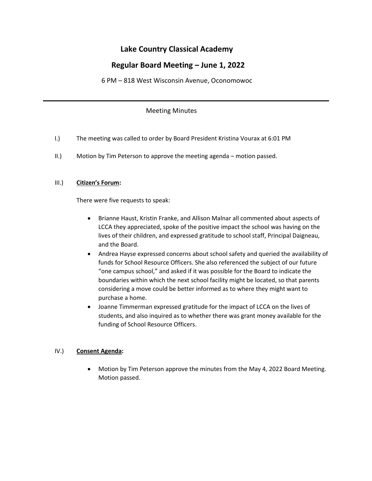# **Lake Country Classical Academy**

# **Regular Board Meeting – June 1, 2022**

6 PM – 818 West Wisconsin Avenue, Oconomowoc

#### Meeting Minutes

- I.) The meeting was called to order by Board President Kristina Vourax at 6:01 PM
- II.) Motion by Tim Peterson to approve the meeting agenda motion passed.

#### III.) **Citizen's Forum:**

There were five requests to speak:

- Brianne Haust, Kristin Franke, and Allison Malnar all commented about aspects of LCCA they appreciated, spoke of the positive impact the school was having on the lives of their children, and expressed gratitude to school staff, Principal Daigneau, and the Board.
- Andrea Hayse expressed concerns about school safety and queried the availability of funds for School Resource Officers. She also referenced the subject of our future "one campus school," and asked if it was possible for the Board to indicate the boundaries within which the next school facility might be located, so that parents considering a move could be better informed as to where they might want to purchase a home.
- Joanne Timmerman expressed gratitude for the impact of LCCA on the lives of students, and also inquired as to whether there was grant money available for the funding of School Resource Officers.

### IV.) **Consent Agenda:**

• Motion by Tim Peterson approve the minutes from the May 4, 2022 Board Meeting. Motion passed.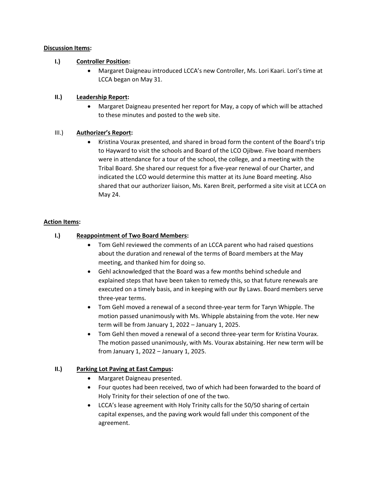#### **Discussion Items:**

#### **I.) Controller Position:**

• Margaret Daigneau introduced LCCA's new Controller, Ms. Lori Kaari. Lori's time at LCCA began on May 31.

#### **II.) Leadership Report:**

• Margaret Daigneau presented her report for May, a copy of which will be attached to these minutes and posted to the web site.

#### III.) **Authorizer's Report:**

• Kristina Vourax presented, and shared in broad form the content of the Board's trip to Hayward to visit the schools and Board of the LCO Ojibwe. Five board members were in attendance for a tour of the school, the college, and a meeting with the Tribal Board. She shared our request for a five-year renewal of our Charter, and indicated the LCO would determine this matter at its June Board meeting. Also shared that our authorizer liaison, Ms. Karen Breit, performed a site visit at LCCA on May 24.

#### **Action Items:**

### **I.) Reappointment of Two Board Members:**

- Tom Gehl reviewed the comments of an LCCA parent who had raised questions about the duration and renewal of the terms of Board members at the May meeting, and thanked him for doing so.
- Gehl acknowledged that the Board was a few months behind schedule and explained steps that have been taken to remedy this, so that future renewals are executed on a timely basis, and in keeping with our By Laws. Board members serve three-year terms.
- Tom Gehl moved a renewal of a second three-year term for Taryn Whipple. The motion passed unanimously with Ms. Whipple abstaining from the vote. Her new term will be from January 1, 2022 – January 1, 2025.
- Tom Gehl then moved a renewal of a second three-year term for Kristina Vourax. The motion passed unanimously, with Ms. Vourax abstaining. Her new term will be from January 1, 2022 – January 1, 2025.

### **II.) Parking Lot Paving at East Campus:**

- Margaret Daigneau presented.
- Four quotes had been received, two of which had been forwarded to the board of Holy Trinity for their selection of one of the two.
- LCCA's lease agreement with Holy Trinity calls for the 50/50 sharing of certain capital expenses, and the paving work would fall under this component of the agreement.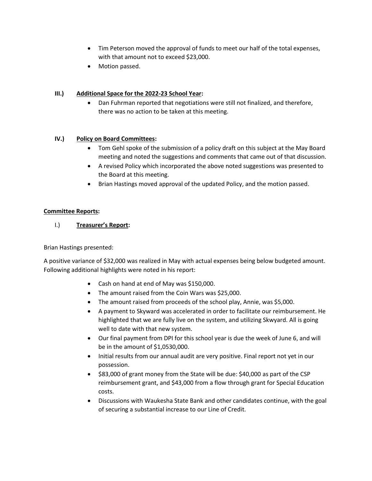- Tim Peterson moved the approval of funds to meet our half of the total expenses, with that amount not to exceed \$23,000.
- Motion passed.

## **III.) Additional Space for the 2022-23 School Year:**

• Dan Fuhrman reported that negotiations were still not finalized, and therefore, there was no action to be taken at this meeting.

### **IV.) Policy on Board Committees:**

- Tom Gehl spoke of the submission of a policy draft on this subject at the May Board meeting and noted the suggestions and comments that came out of that discussion.
- A revised Policy which incorporated the above noted suggestions was presented to the Board at this meeting.
- Brian Hastings moved approval of the updated Policy, and the motion passed.

### **Committee Reports:**

# I.) **Treasurer's Report:**

### Brian Hastings presented:

A positive variance of \$32,000 was realized in May with actual expenses being below budgeted amount. Following additional highlights were noted in his report:

- Cash on hand at end of May was \$150,000.
- The amount raised from the Coin Wars was \$25,000.
- The amount raised from proceeds of the school play, Annie, was \$5,000.
- A payment to Skyward was accelerated in order to facilitate our reimbursement. He highlighted that we are fully live on the system, and utilizing Skwyard. All is going well to date with that new system.
- Our final payment from DPI for this school year is due the week of June 6, and will be in the amount of \$1,0530,000.
- Initial results from our annual audit are very positive. Final report not yet in our possession.
- \$83,000 of grant money from the State will be due: \$40,000 as part of the CSP reimbursement grant, and \$43,000 from a flow through grant for Special Education costs.
- Discussions with Waukesha State Bank and other candidates continue, with the goal of securing a substantial increase to our Line of Credit.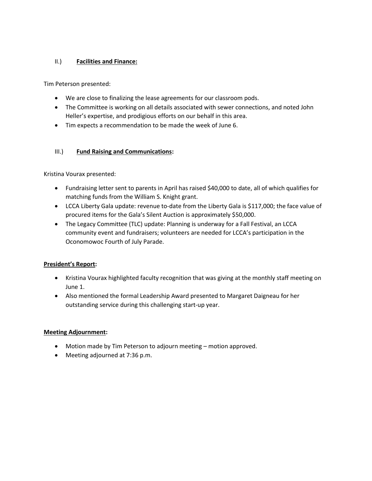## II.) **Facilities and Finance:**

Tim Peterson presented:

- We are close to finalizing the lease agreements for our classroom pods.
- The Committee is working on all details associated with sewer connections, and noted John Heller's expertise, and prodigious efforts on our behalf in this area.
- Tim expects a recommendation to be made the week of June 6.

# III.) **Fund Raising and Communications:**

Kristina Vourax presented:

- Fundraising letter sent to parents in April has raised \$40,000 to date, all of which qualifies for matching funds from the William S. Knight grant.
- LCCA Liberty Gala update: revenue to-date from the Liberty Gala is \$117,000; the face value of procured items for the Gala's Silent Auction is approximately \$50,000.
- The Legacy Committee (TLC) update: Planning is underway for a Fall Festival, an LCCA community event and fundraisers; volunteers are needed for LCCA's participation in the Oconomowoc Fourth of July Parade.

### **President's Report:**

- Kristina Vourax highlighted faculty recognition that was giving at the monthly staff meeting on June 1.
- Also mentioned the formal Leadership Award presented to Margaret Daigneau for her outstanding service during this challenging start-up year.

### **Meeting Adjournment:**

- Motion made by Tim Peterson to adjourn meeting motion approved.
- Meeting adjourned at 7:36 p.m.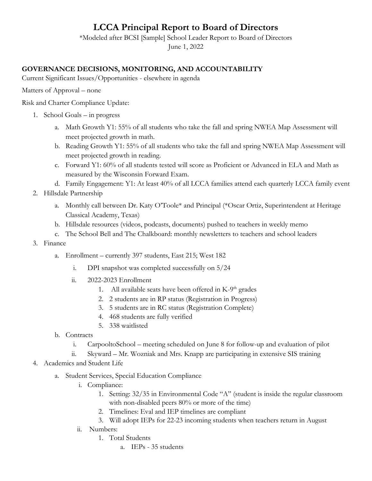# **LCCA Principal Report to Board of Directors**

\*Modeled after BCSI [Sample] School Leader Report to Board of Directors June 1, 2022

# **GOVERNANCE DECISIONS, MONITORING, AND ACCOUNTABILITY**

Current Significant Issues/Opportunities - elsewhere in agenda

Matters of Approval – none

Risk and Charter Compliance Update:

- 1. School Goals in progress
	- a. Math Growth Y1: 55% of all students who take the fall and spring NWEA Map Assessment will meet projected growth in math.
	- b. Reading Growth Y1: 55% of all students who take the fall and spring NWEA Map Assessment will meet projected growth in reading.
	- c. Forward Y1: 60% of all students tested will score as Proficient or Advanced in ELA and Math as measured by the Wisconsin Forward Exam.
	- d. Family Engagement: Y1: At least 40% of all LCCA families attend each quarterly LCCA family event
- 2. Hillsdale Partnership
	- a. Monthly call between Dr. Katy O'Toole\* and Principal (\*Oscar Ortiz, Superintendent at Heritage Classical Academy, Texas)
	- b. Hillsdale resources (videos, podcasts, documents) pushed to teachers in weekly memo
	- c. The School Bell and The Chalkboard: monthly newsletters to teachers and school leaders
- 3. Finance
	- a. Enrollment currently 397 students, East 215; West 182
		- i. DPI snapshot was completed successfully on 5/24
		- ii. 2022-2023 Enrollment
			- 1. All available seats have been offered in K-9<sup>th</sup> grades
			- 2. 2 students are in RP status (Registration in Progress)
			- 3. 5 students are in RC status (Registration Complete)
			- 4. 468 students are fully verified
			- 5. 338 waitlisted
	- b. Contracts
		- i. CarpooltoSchool meeting scheduled on June 8 for follow-up and evaluation of pilot
		- ii. Skyward Mr. Wozniak and Mrs. Knapp are participating in extensive SIS training
- 4. Academics and Student Life
	- a. Student Services, Special Education Compliance
		- i. Compliance:
			- 1. Setting: 32/35 in Environmental Code "A" (student is inside the regular classroom with non-disabled peers 80% or more of the time)
			- 2. Timelines: Eval and IEP timelines are compliant
			- 3. Will adopt IEPs for 22-23 incoming students when teachers return in August
		- ii. Numbers:
			- 1. Total Students
				- a. IEPs 35 students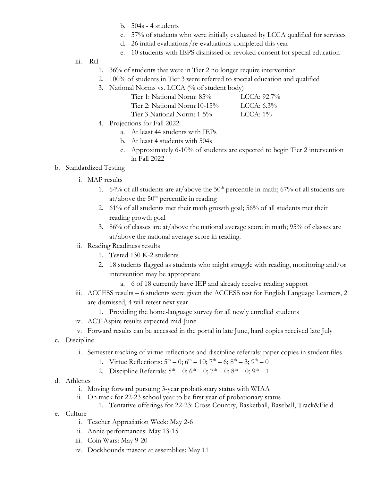- b. 504s 4 students
- c. 57% of students who were initially evaluated by LCCA qualified for services
- d. 26 initial evaluations/re-evaluations completed this year
- e. 10 students with IEPS dismissed or revoked consent for special education
- iii. RtI
	- 1. 36% of students that were in Tier 2 no longer require intervention
	- 2. 100% of students in Tier 3 were referred to special education and qualified
	- 3. National Norms vs. LCCA (% of student body)

| Tier 1: National Norm: 85%   | LCCA: $92.7\%$ |
|------------------------------|----------------|
| Tier 2: National Norm:10-15% | LCA: 6.3%      |
| Tier 3 National Norm: 1-5%   | LCCA: $1\%$    |

- 4. Projections for Fall 2022:
	- a. At least 44 students with IEPs
	- b. At least 4 students with 504s
	- c. Approximately 6-10% of students are expected to begin Tier 2 intervention in Fall 2022

# b. Standardized Testing

- i. MAP results
	- 1. 64% of all students are at/above the  $50<sup>th</sup>$  percentile in math; 67% of all students are at/above the  $50<sup>th</sup>$  percentile in reading
	- 2. 61% of all students met their math growth goal; 56% of all students met their reading growth goal
	- 3. 86% of classes are at/above the national average score in math; 95% of classes are at/above the national average score in reading.
- ii. Reading Readiness results
	- 1. Tested 130 K-2 students
	- 2. 18 students flagged as students who might struggle with reading, monitoring and/or intervention may be appropriate
		- a. 6 of 18 currently have IEP and already receive reading support
- iii. ACCESS results 6 students were given the ACCESS test for English Language Learners, 2 are dismissed, 4 will retest next year
	- 1. Providing the home-language survey for all newly enrolled students
- iv. ACT Aspire results expected mid-June
- v. Forward results can be accessed in the portal in late June, hard copies received late July
- c. Discipline
	- i. Semester tracking of virtue reflections and discipline referrals; paper copies in student files
		- 1. Virtue Reflections:  $5^{\text{th}} 0$ ;  $6^{\text{th}} 10$ ;  $7^{\text{th}} 6$ ;  $8^{\text{th}} 3$ ;  $9^{\text{th}} 0$
		- 2. Discipline Referrals:  $5^{\text{th}} 0$ ;  $6^{\text{th}} 0$ ;  $7^{\text{th}} 0$ ;  $8^{\text{th}} 0$ ;  $9^{\text{th}} 1$
- d. Athletics
	- i. Moving forward pursuing 3-year probationary status with WIAA
	- ii. On track for 22-23 school year to be first year of probationary status
		- 1. Tentative offerings for 22-23: Cross Country, Basketball, Baseball, Track&Field
- e. Culture
	- i. Teacher Appreciation Week: May 2-6
	- ii. Annie performances: May 13-15
	- iii. Coin Wars: May 9-20
	- iv. Dockhounds mascot at assemblies: May 11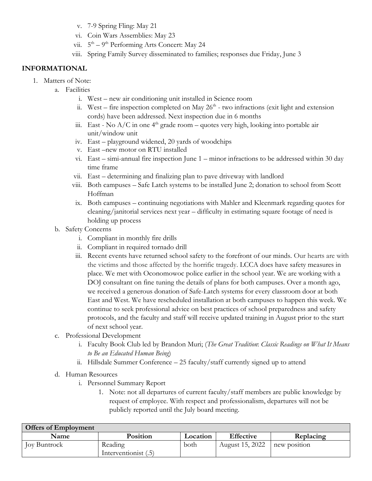- v. 7-9 Spring Fling: May 21
- vi. Coin Wars Assemblies: May 23
- vii. 5<sup>th</sup> 9<sup>th</sup> Performing Arts Concert: May 24
- viii. Spring Family Survey disseminated to families; responses due Friday, June 3

# **INFORMATIONAL**

- 1. Matters of Note:
	- a. Facilities
		- i. West new air conditioning unit installed in Science room
		- ii. West fire inspection completed on May  $26<sup>th</sup>$  two infractions (exit light and extension cords) have been addressed. Next inspection due in 6 months
		- iii. East No  $A/C$  in one  $4<sup>th</sup>$  grade room quotes very high, looking into portable air unit/window unit
		- iv. East playground widened, 20 yards of woodchips
		- v. East –new motor on RTU installed
		- vi. East simi-annual fire inspection June 1 minor infractions to be addressed within 30 day time frame
		- vii. East determining and finalizing plan to pave driveway with landlord
		- viii. Both campuses Safe Latch systems to be installed June 2; donation to school from Scott Hoffman
		- ix. Both campuses continuing negotiations with Mahler and Kleenmark regarding quotes for cleaning/janitorial services next year – difficulty in estimating square footage of need is holding up process
	- b. Safety Concerns
		- i. Compliant in monthly fire drills
		- ii. Compliant in required tornado drill
		- iii. Recent events have returned school safety to the forefront of our minds. Our hearts are with the victims and those affected by the horrific tragedy. LCCA does have safety measures in place. We met with Oconomowoc police earlier in the school year. We are working with a DOJ consultant on fine tuning the details of plans for both campuses. Over a month ago, we received a generous donation of Safe-Latch systems for every classroom door at both East and West. We have rescheduled installation at both campuses to happen this week. We continue to seek professional advice on best practices of school preparedness and safety protocols, and the faculty and staff will receive updated training in August prior to the start of next school year.
	- c. Professional Development
		- i. Faculty Book Club led by Brandon Muri; (*The Great Tradition*: *Classic Readings on What It Means to Be an Educated Human Being*)
		- ii. Hillsdale Summer Conference 25 faculty/staff currently signed up to attend
	- d. Human Resources
		- i. Personnel Summary Report
			- 1. Note: not all departures of current faculty/staff members are public knowledge by request of employee. With respect and professionalism, departures will not be publicly reported until the July board meeting.

| <b>Offers of Employment</b> |                      |          |                  |              |
|-----------------------------|----------------------|----------|------------------|--------------|
| Name                        | <b>Position</b>      | Location | <b>Effective</b> | Replacing    |
| Joy Buntrock                | Reading              | both     | August 15, 2022  | new position |
|                             | Interventionist (.5) |          |                  |              |